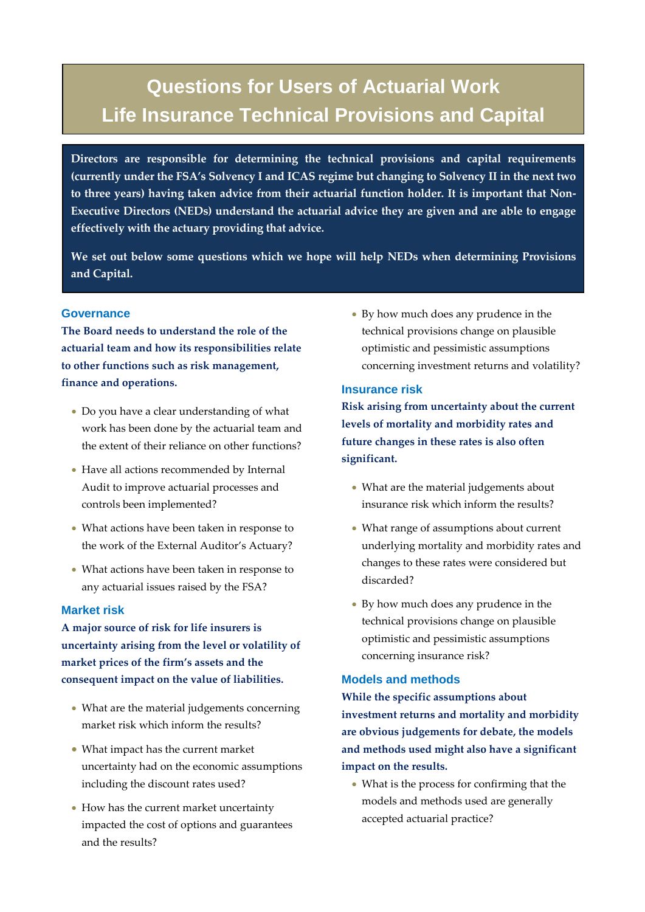# **Questions for Users of Actuarial Work Life Insurance Technical Provisions and Capital**

**Directors are responsible for determining the technical provisions and capital requirements (currently under the FSA's Solvency I and ICAS regime but changing to Solvency II in the next two to three years) having taken advice from their actuarial function holder. It is important that Non-Executive Directors (NEDs) understand the actuarial advice they are given and are able to engage effectively with the actuary providing that advice.**

**We set out below some questions which we hope will help NEDs when determining Provisions and Capital.** 

## **Governance**

**The Board needs to understand the role of the actuarial team and how its responsibilities relate to other functions such as risk management, finance and operations.**

- Do you have a clear understanding of what work has been done by the actuarial team and the extent of their reliance on other functions?
- Have all actions recommended by Internal Audit to improve actuarial processes and controls been implemented?
- What actions have been taken in response to the work of the External Auditor's Actuary?
- What actions have been taken in response to any actuarial issues raised by the FSA?

## **Market risk**

**A major source of risk for life insurers is uncertainty arising from the level or volatility of market prices of the firm's assets and the consequent impact on the value of liabilities.**

- What are the material judgements concerning market risk which inform the results?
- What impact has the current market uncertainty had on the economic assumptions including the discount rates used?
- How has the current market uncertainty impacted the cost of options and guarantees and the results?

• By how much does any prudence in the technical provisions change on plausible optimistic and pessimistic assumptions concerning investment returns and volatility?

## **Insurance risk**

**Risk arising from uncertainty about the current levels of mortality and morbidity rates and future changes in these rates is also often significant.**

- What are the material judgements about insurance risk which inform the results?
- What range of assumptions about current underlying mortality and morbidity rates and changes to these rates were considered but discarded?
- By how much does any prudence in the technical provisions change on plausible optimistic and pessimistic assumptions concerning insurance risk?

## **Models and methods**

**While the specific assumptions about investment returns and mortality and morbidity are obvious judgements for debate, the models and methods used might also have a significant impact on the results.**

• What is the process for confirming that the models and methods used are generally accepted actuarial practice?